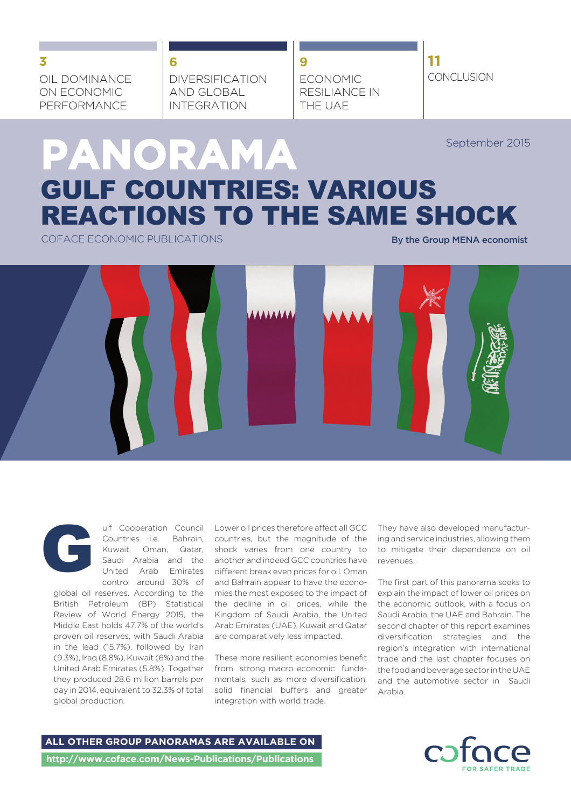OIL DOMINANCE ON ECONOMIC PERFORMANCE

DIVERSIFICATION AND GLOBAL INTEGRATION

**6**

**9** ECONOMIC RESILIANCE IN THE UAE

**11 CONCLUSION 3**

September 2015

# **PANORAMA** GULF COUNTRIES: VARIOUS REACTIONS TO THE SAME SHOCK

COFACE ECONOMIC PUBLICATIONS **By the Group MENA economist** 



global oil reserves. According to the mies the most exposed to the impact of British Petroleum (BP) Statistical the decline in oil prices, while the Review of World Energy 2015, the Middle East holds 47.7% of the world's proven oil reserves, with Saudi Arabia in the lead (15.7%), followed by Iran (9.3%), Iraq (8.8%), Kuwait (6%) and the United Arab Emirates (5.8%). Together they produced 28.6 million barrels per day in 2014, equivalent to 32.3% of total global production.

Ulf Cooperation Council Lower oil prices therefore affect all GCC They have also developed manufactur-<br>Countries -i.e. Bahrain, countries, but the magnitude of the ing and service industries, allowing them<br>Kuwait, Oman, Qa Countries -i.e. Bahrain, countries, but the magnitude of the Kuwait, Oman, Qatar, shock varies from one country to Saudi Arabia and the another and indeed GCC countries have United Arab Emirates different break even prices for oil. Oman control around 30% of and Bahrain appear to have the econo-Kingdom of Saudi Arabia, the United Arab Emirates (UAE), Kuwait and Qatar second chapter of this report examines are comparatively less impacted.

> These more resilient economies benefit from strong macro economic fundamentals, such as more diversification, solid financial buffers and greater integration with world trade.

ing and service industries, allowing them to mitigate their dependence on oil revenues.

The first part of this panorama seeks to explain the impact of lower oil prices on the economic outlook, with a focus on Saudi Arabia, the UAE and Bahrain. The diversification strategies and the region's integration with international trade and the last chapter focuses on the food and beverage sector in the UAE and the automotive sector in Saudi Arabia.

**ALL OTHER GROUP PANORAMAS ARE AVAILABLE ON http://www.coface.com/News-Publications/Publications**

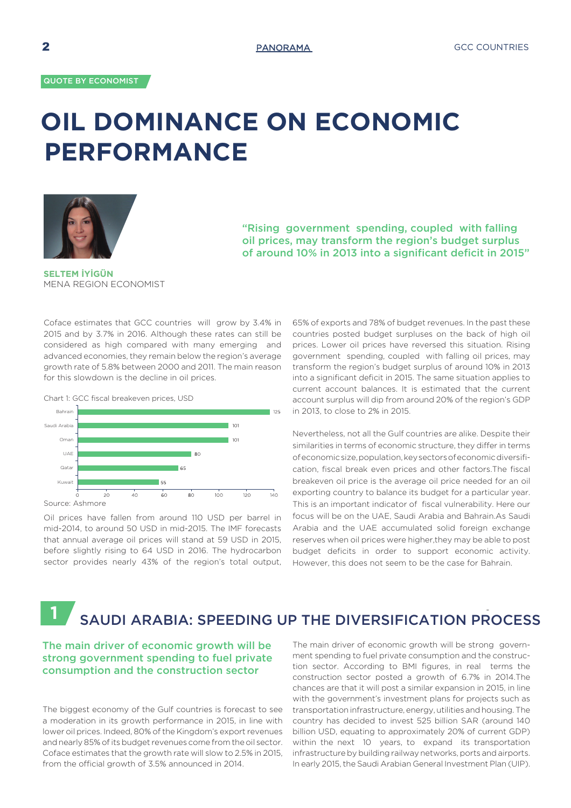# **OIL DOMINANCE ON ECONOMIC PERFORMANCE**



"Rising government spending, coupled with falling oil prices, may transform the region's budget surplus of around 10% in 2013 into a significant deficit in 2015"

**SELTEM İYİGÜN** MENA REGION ECONOMIST

Coface estimates that GCC countries will grow by 3.4% in 2015 and by 3.7% in 2016. Although these rates can still be considered as high compared with many emerging and advanced economies, they remain below the region's average growth rate of 5.8% between 2000 and 2011. The main reason for this slowdown is the decline in oil prices.



Oil prices have fallen from around 110 USD per barrel in mid-2014, to around 50 USD in mid-2015. The IMF forecasts that annual average oil prices will stand at 59 USD in 2015, before slightly rising to 64 USD in 2016. The hydrocarbon sector provides nearly 43% of the region's total output,

65% of exports and 78% of budget revenues. In the past these countries posted budget surpluses on the back of high oil prices. Lower oil prices have reversed this situation. Rising government spending, coupled with falling oil prices, may transform the region's budget surplus of around 10% in 2013 into a significant deficit in 2015. The same situation applies to current account balances. It is estimated that the current account surplus will dip from around 20% of the region's GDP in 2013, to close to 2% in 2015.

Nevertheless, not all the Gulf countries are alike. Despite their similarities in terms of economic structure, they differ in terms of economic size, population, key sectors of economic diversification, fiscal break even prices and other factors.The fiscal breakeven oil price is the average oil price needed for an oil exporting country to balance its budget for a particular year. This is an important indicator of fiscal vulnerability. Here our focus will be on the UAE, Saudi Arabia and Bahrain.As Saudi Arabia and the UAE accumulated solid foreign exchange reserves when oil prices were higher,they may be able to post budget deficits in order to support economic activity. However, this does not seem to be the case for Bahrain.

## - SAUDI ARABIA: SPEEDING UP THE DIVERSIFICATION PROCESS **1**

## The main driver of economic growth will be strong government spending to fuel private consumption and the construction sector

The biggest economy of the Gulf countries is forecast to see a moderation in its growth performance in 2015, in line with lower oil prices. Indeed, 80% of the Kingdom's export revenues and nearly 85% of its budget revenues come from the oil sector. Coface estimates that the growth rate will slow to 2.5% in 2015, from the official growth of 3.5% announced in 2014.

The main driver of economic growth will be strong government spending to fuel private consumption and the construction sector. According to BMI figures, in real terms the construction sector posted a growth of 6.7% in 2014.The chances are that it will post a similar expansion in 2015, in line with the government's investment plans for projects such as transportation infrastructure, energy, utilities and housing. The country has decided to invest 525 billion SAR (around 140 billion USD, equating to approximately 20% of current GDP) within the next 10 years, to expand its transportation infrastructure by building railway networks, ports and airports. In early 2015, the Saudi Arabian General Investment Plan (UIP).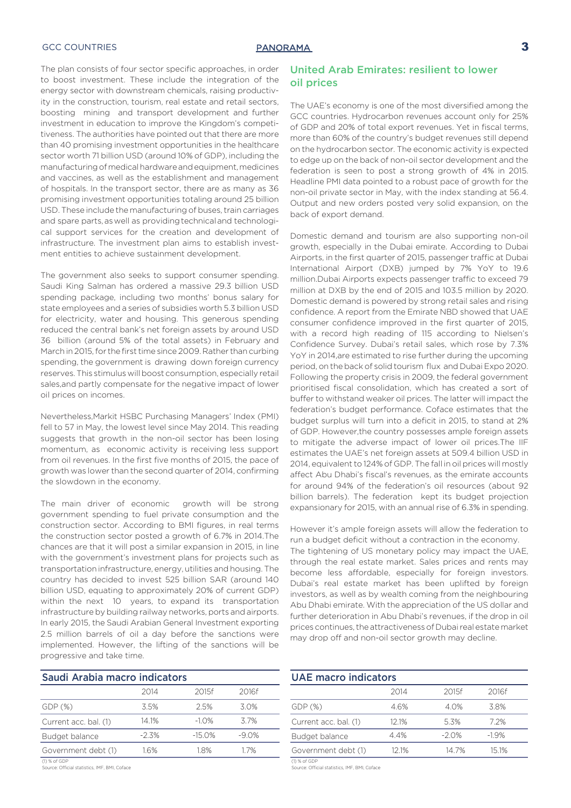## GCC COUNTRIES **3**

The plan consists of four sector specific approaches, in order to boost investment. These include the integration of the energy sector with downstream chemicals, raising productivity in the construction, tourism, real estate and retail sectors, boosting mining and transport development and further investment in education to improve the Kingdom's competitiveness. The authorities have pointed out that there are more than 40 promising investment opportunities in the healthcare sector worth 71 billion USD (around 10% of GDP), including the manufacturing of medical hardware and equipment, medicines and vaccines, as well as the establishment and management of hospitals. In the transport sector, there are as many as 36 promising investment opportunities totaling around 25 billion USD. These include the manufacturing of buses, train carriages and spare parts, as well as providing technical and technological support services for the creation and development of infrastructure. The investment plan aims to establish investment entities to achieve sustainment development.

The government also seeks to support consumer spending. Saudi King Salman has ordered a massive 29.3 billion USD spending package, including two months' bonus salary for state employees and a series of subsidies worth 5.3 billion USD for electricity, water and housing. This generous spending reduced the central bank's net foreign assets by around USD 36 billion (around 5% of the total assets) in February and March in 2015, for the first time since 2009. Rather than curbing spending, the government is drawing down foreign currency reserves. This stimulus will boost consumption, especially retail sales,and partly compensate for the negative impact of lower oil prices on incomes.

Nevertheless,Markit HSBC Purchasing Managers' Index (PMI) fell to 57 in May, the lowest level since May 2014. This reading suggests that growth in the non-oil sector has been losing momentum, as economic activity is receiving less support from oil revenues. In the first five months of 2015, the pace of growth was lower than the second quarter of 2014, confirming the slowdown in the economy.

The main driver of economic growth will be strong government spending to fuel private consumption and the construction sector. According to BMI figures, in real terms the construction sector posted a growth of 6.7% in 2014.The chances are that it will post a similar expansion in 2015, in line with the government's investment plans for projects such as transportation infrastructure, energy, utilities and housing. The country has decided to invest 525 billion SAR (around 140 billion USD, equating to approximately 20% of current GDP) within the next 10 years, to expand its transportation infrastructure by building railway networks, ports and airports. In early 2015, the Saudi Arabian General Investment exporting 2.5 million barrels of oil a day before the sanctions were implemented. However, the lifting of the sanctions will be progressive and take time.

| Saudi Arabia macro indicators |          |        |          |  |  |
|-------------------------------|----------|--------|----------|--|--|
|                               | 2014     | 2015f  | 2016f    |  |  |
| $GDP(\%)$                     | 3.5%     | 2.5%   | 30%      |  |  |
| Current acc. bal. (1)         | 14 1%    | $-10%$ | 37%      |  |  |
| Budget balance                | $-2.3\%$ | -15 0% | $-9.0\%$ |  |  |
| Government debt (1)           | 16%      | 18%    | 17%      |  |  |

(1) % of GDP Source: Ocial statistics, IMF, BMI, Coface

## United Arab Emirates: resilient to lower oil prices

The UAE's economy is one of the most diversified among the GCC countries. Hydrocarbon revenues account only for 25% of GDP and 20% of total export revenues. Yet in fiscal terms, more than 60% of the country's budget revenues still depend on the hydrocarbon sector. The economic activity is expected to edge up on the back of non-oil sector development and the federation is seen to post a strong growth of 4% in 2015. Headline PMI data pointed to a robust pace of growth for the non-oil private sector in May, with the index standing at 56.4. Output and new orders posted very solid expansion, on the back of export demand.

Domestic demand and tourism are also supporting non-oil growth, especially in the Dubai emirate. According to Dubai Airports, in the first quarter of 2015, passenger traffic at Dubai International Airport (DXB) jumped by 7% YoY to 19.6 million.Dubai Airports expects passenger traffic to exceed 79 million at DXB by the end of 2015 and 103.5 million by 2020. Domestic demand is powered by strong retail sales and rising confidence. A report from the Emirate NBD showed that UAE consumer confidence improved in the first quarter of 2015, with a record high reading of 115 according to Nielsen's Confidence Survey. Dubai's retail sales, which rose by 7.3% YoY in 2014,are estimated to rise further during the upcoming period, on the back of solid tourism flux and Dubai Expo 2020. Following the property crisis in 2009, the federal government prioritised fiscal consolidation, which has created a sort of buffer to withstand weaker oil prices. The latter will impact the federation's budget performance. Coface estimates that the budget surplus will turn into a deficit in 2015, to stand at 2% of GDP. However,the country possesses ample foreign assets to mitigate the adverse impact of lower oil prices.The IIF estimates the UAE's net foreign assets at 509.4 billion USD in 2014, equivalent to 124% of GDP. The fall in oil prices will mostly affect Abu Dhabi's fiscal's revenues, as the emirate accounts for around 94% of the federation's oil resources (about 92 billion barrels). The federation kept its budget projection expansionary for 2015, with an annual rise of 6.3% in spending.

However it's ample foreign assets will allow the federation to run a budget deficit without a contraction in the economy.

The tightening of US monetary policy may impact the UAE, through the real estate market. Sales prices and rents may become less affordable, especially for foreign investors. Dubai's real estate market has been uplifted by foreign investors, as well as by wealth coming from the neighbouring Abu Dhabi emirate. With the appreciation of the US dollar and further deterioration in Abu Dhabi's revenues, if the drop in oil prices continues, the attractiveness of Dubai real estate market may drop off and non-oil sector growth may decline.

| <b>UAE macro indicators</b> |       |         |        |  |
|-----------------------------|-------|---------|--------|--|
|                             | 2014  | 2015f   | 2016f  |  |
| GDP (%)                     | 4.6%  | 40%     | 3.8%   |  |
| Current acc. bal. (1)       | 12.1% | 5.3%    | 72%    |  |
| Budget balance              | 44%   | $-2.0%$ | $-19%$ |  |
| Government debt (1)         | 12.1% | 14 7%   | 15.1%  |  |

(1) % of GDP<br>Source: Official statistics, IMF, BMI, Coface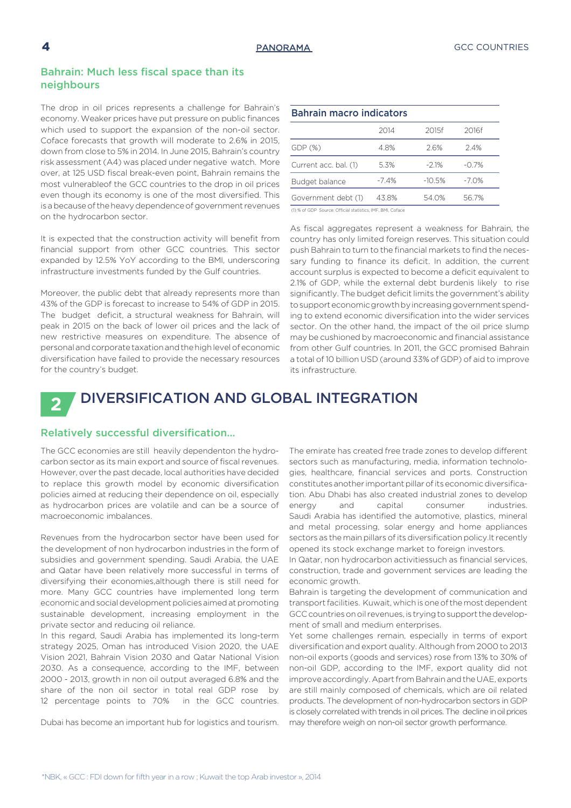## Bahrain: Much less fiscal space than its neighbours

The drop in oil prices represents a challenge for Bahrain's economy. Weaker prices have put pressure on public finances which used to support the expansion of the non-oil sector. Coface forecasts that growth will moderate to 2.6% in 2015, down from close to 5% in 2014. In June 2015, Bahrain's country risk assessment (A4) was placed under negative watch. More over, at 125 USD fiscal break-even point, Bahrain remains the most vulnerableof the GCC countries to the drop in oil prices even though its economy is one of the most diversified. This is a because of the heavy dependence of government revenues on the hydrocarbon sector.

It is expected that the construction activity will benefit from financial support from other GCC countries. This sector expanded by 12.5% YoY according to the BMI, underscoring infrastructure investments funded by the Gulf countries.

Moreover, the public debt that already represents more than 43% of the GDP is forecast to increase to 54% of GDP in 2015. The budget deficit, a structural weakness for Bahrain, will peak in 2015 on the back of lower oil prices and the lack of new restrictive measures on expenditure. The absence of personal and corporate taxation and the high level of economic diversification have failed to provide the necessary resources for the country's budget.

| <b>Bahrain macro indicators</b> |        |          |          |  |  |
|---------------------------------|--------|----------|----------|--|--|
|                                 | 2014   | 2015f    | 2016f    |  |  |
| GDP(S)                          | 48%    | 26%      | 24%      |  |  |
| Current acc. bal. (1)           | 5.3%   | $-21%$   | $-0.7\%$ |  |  |
| Budget balance                  | $-74%$ | $-10.5%$ | $-7.0%$  |  |  |
| Government debt (1)             | 438%   | 54 0%    | 567%     |  |  |

(1) % of GDP Source: Official statistics, IMF, BMI, Coface

As fiscal aggregates represent a weakness for Bahrain, the country has only limited foreign reserves. This situation could push Bahrain to turn to the financial markets to find the necessary funding to finance its deficit. In addition, the current account surplus is expected to become a deficit equivalent to 2.1% of GDP, while the external debt burdenis likely to rise significantly. The budget deficit limits the government's ability to support economic growth by increasing government spending to extend economic diversification into the wider services sector. On the other hand, the impact of the oil price slump may be cushioned by macroeconomic and financial assistance from other Gulf countries. In 2011, the GCC promised Bahrain a total of 10 billion USD (around 33% of GDP) of aid to improve its infrastructure.

## DIVERSIFICATION AND GLOBAL INTEGRATION **2**

## Relatively successful diversification…

The GCC economies are still heavily dependenton the hydrocarbon sector as its main export and source of fiscal revenues. However, over the past decade, local authorities have decided to replace this growth model by economic diversification policies aimed at reducing their dependence on oil, especially as hydrocarbon prices are volatile and can be a source of macroeconomic imbalances.

Revenues from the hydrocarbon sector have been used for the development of non hydrocarbon industries in the form of subsidies and government spending. Saudi Arabia, the UAE and Qatar have been relatively more successful in terms of diversifying their economies,although there is still need for more. Many GCC countries have implemented long term economic and social development policies aimed at promoting sustainable development, increasing employment in the private sector and reducing oil reliance.

In this regard, Saudi Arabia has implemented its long-term strategy 2025, Oman has introduced Vision 2020, the UAE Vision 2021, Bahrain Vision 2030 and Qatar National Vision 2030. As a consequence, according to the IMF, between 2000 - 2013, growth in non oil output averaged 6.8% and the share of the non oil sector in total real GDP rose by 12 percentage points to 70% in the GCC countries.

Dubai has become an important hub for logistics and tourism.

The emirate has created free trade zones to develop different sectors such as manufacturing, media, information technologies, healthcare, financial services and ports. Construction constitutes another important pillar of its economic diversification. Abu Dhabi has also created industrial zones to develop energy and capital consumer industries. Saudi Arabia has identified the automotive, plastics, mineral and metal processing, solar energy and home appliances sectors as the main pillars of its diversification policy.It recently opened its stock exchange market to foreign investors.

In Qatar, non hydrocarbon activitiessuch as financial services, construction, trade and government services are leading the economic growth.

Bahrain is targeting the development of communication and transport facilities. Kuwait, which is one of the most dependent GCC countries on oil revenues, is trying to support the development of small and medium enterprises.

Yet some challenges remain, especially in terms of export diversification and export quality. Although from 2000 to 2013 non-oil exports (goods and services) rose from 13% to 30% of non-oil GDP, according to the IMF, export quality did not improve accordingly. Apart from Bahrain and the UAE, exports are still mainly composed of chemicals, which are oil related products. The development of non-hydrocarbon sectors in GDP is closely correlated with trends in oil prices. The decline in oil prices may therefore weigh on non-oil sector growth performance.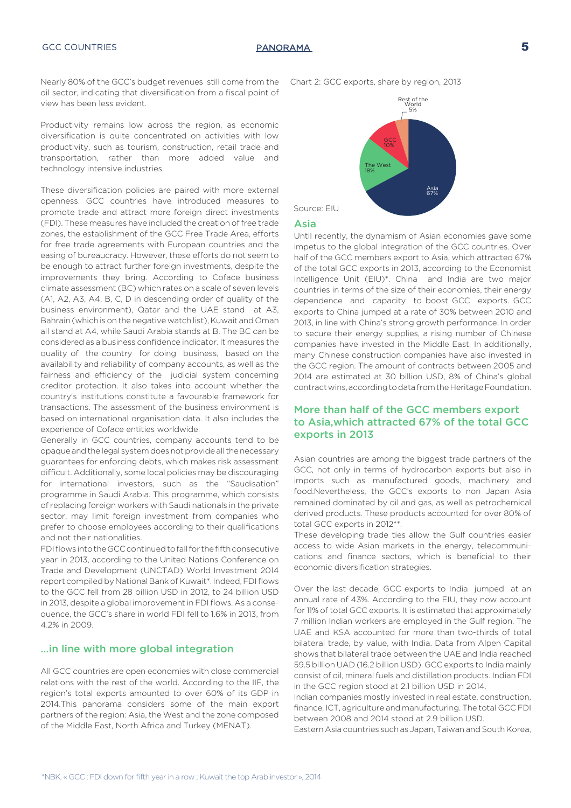

Nearly 80% of the GCC's budget revenues still come from the oil sector, indicating that diversification from a fiscal point of view has been less evident.

Productivity remains low across the region, as economic diversification is quite concentrated on activities with low productivity, such as tourism, construction, retail trade and transportation, rather than more added value and technology intensive industries.

These diversification policies are paired with more external openness. GCC countries have introduced measures to promote trade and attract more foreign direct investments (FDI). These measures have included the creation of free trade zones, the establishment of the GCC Free Trade Area, efforts for free trade agreements with European countries and the easing of bureaucracy. However, these efforts do not seem to be enough to attract further foreign investments, despite the improvements they bring. According to Coface business climate assessment (BC) which rates on a scale of seven levels (A1, A2, A3, A4, B, C, D in descending order of quality of the business environment), Qatar and the UAE stand at A3, Bahrain (which is on the negative watch list), Kuwait and Oman all stand at A4, while Saudi Arabia stands at B. The BC can be considered as a business confidence indicator. It measures the quality of the country for doing business, based on the availability and reliability of company accounts, as well as the fairness and efficiency of the judicial system concerning creditor protection. It also takes into account whether the country's institutions constitute a favourable framework for transactions. The assessment of the business environment is based on international organisation data. It also includes the experience of Coface entities worldwide.

Generally in GCC countries, company accounts tend to be opaque and the legal system does not provide all the necessary guarantees for enforcing debts, which makes risk assessment difficult. Additionally, some local policies may be discouraging for international investors, such as the "Saudisation" programme in Saudi Arabia. This programme, which consists of replacing foreign workers with Saudi nationals in the private sector, may limit foreign investment from companies who prefer to choose employees according to their qualifications and not their nationalities.

FDI flows into the GCC continued to fall for the fifth consecutive year in 2013, according to the United Nations Conference on Trade and Development (UNCTAD) World Investment 2014 report compiled by National Bank of Kuwait\*. Indeed, FDI flows to the GCC fell from 28 billion USD in 2012, to 24 billion USD in 2013, despite a global improvement in FDI flows. As a consequence, the GCC's share in world FDI fell to 1.6% in 2013, from 4.2% in 2009.

## …in line with more global integration

All GCC countries are open economies with close commercial relations with the rest of the world. According to the IIF, the region's total exports amounted to over 60% of its GDP in 2014.This panorama considers some of the main export partners of the region: Asia, the West and the zone composed of the Middle East, North Africa and Turkey (MENAT).

Chart 2: GCC exports, share by region, 2013



## Asia

Until recently, the dynamism of Asian economies gave some impetus to the global integration of the GCC countries. Over half of the GCC members export to Asia, which attracted 67% of the total GCC exports in 2013, according to the Economist Intelligence Unit (EIU)\*. China and India are two major countries in terms of the size of their economies, their energy dependence and capacity to boost GCC exports. GCC exports to China jumped at a rate of 30% between 2010 and 2013, in line with China's strong growth performance. In order to secure their energy supplies, a rising number of Chinese companies have invested in the Middle East. In additionally, many Chinese construction companies have also invested in the GCC region. The amount of contracts between 2005 and 2014 are estimated at 30 billion USD, 8% of China's global contract wins, according to data from the Heritage Foundation.

## More than half of the GCC members export to Asia,which attracted 67% of the total GCC exports in 2013

Asian countries are among the biggest trade partners of the GCC, not only in terms of hydrocarbon exports but also in imports such as manufactured goods, machinery and food.Nevertheless, the GCC's exports to non Japan Asia remained dominated by oil and gas, as well as petrochemical derived products. These products accounted for over 80% of total GCC exports in 2012\*\*.

These developing trade ties allow the Gulf countries easier access to wide Asian markets in the energy, telecommunications and finance sectors, which is beneficial to their economic diversification strategies.

Over the last decade, GCC exports to India jumped at an annual rate of 43%. According to the EIU, they now account for 11% of total GCC exports. It is estimated that approximately 7 million Indian workers are employed in the Gulf region. The UAE and KSA accounted for more than two-thirds of total bilateral trade, by value, with India. Data from Alpen Capital shows that bilateral trade between the UAE and India reached 59.5 billion UAD (16.2 billion USD). GCC exports to India mainly consist of oil, mineral fuels and distillation products. Indian FDI in the GCC region stood at 2.1 billion USD in 2014.

Indian companies mostly invested in real estate, construction, finance, ICT, agriculture and manufacturing. The total GCC FDI between 2008 and 2014 stood at 2.9 billion USD.

Eastern Asia countries such as Japan, Taiwan and South Korea,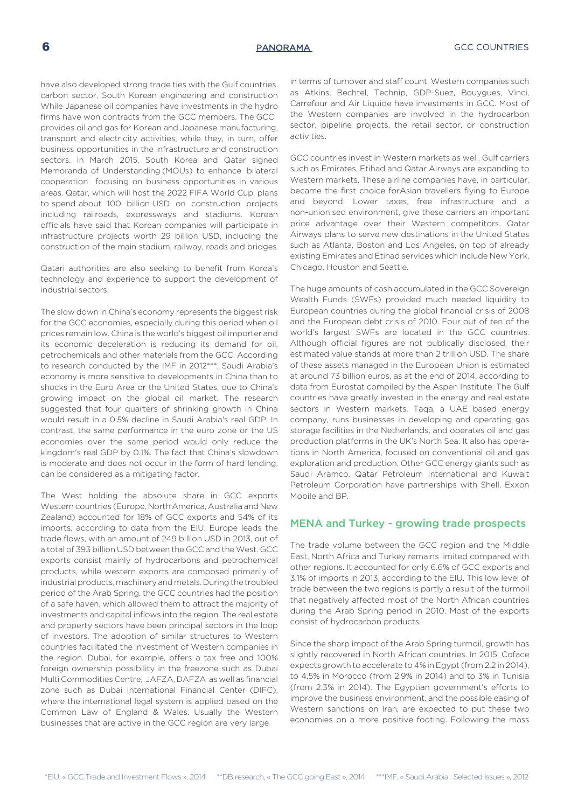have also developed strong trade ties with the Gulf countries. carbon sector, South Korean engineering and construction While Japanese oil companies have investments in the hydro firms have won contracts from the GCC members. The GCC provides oil and gas for Korean and Japanese manufacturing, transport and electricity activities, while they, in turn, offer business opportunities in the infrastructure and construction sectors. In March 2015, South Korea and Qatar signed Memoranda of Understanding (MOUs) to enhance bilateral cooperation focusing on business opportunities in various areas. Qatar, which will host the 2022 FIFA World Cup, plans to spend about 100 billion USD on construction projects including railroads, expressways and stadiums. Korean officials have said that Korean companies will participate in infrastructure projects worth 29 billion USD, including the construction of the main stadium, railway, roads and bridges

Qatari authorities are also seeking to benefit from Korea's technology and experience to support the development of industrial sectors.

The slow down in China's economy represents the biggest risk for the GCC economies, especially during this period when oil prices remain low. China is the world's biggest oil importer and its economic deceleration is reducing its demand for oil, petrochemicals and other materials from the GCC. According to research conducted by the IMF in 2012\*\*\*, Saudi Arabia's economy is more sensitive to developments in China than to shocks in the Euro Area or the United States, due to China's growing impact on the global oil market. The research suggested that four quarters of shrinking growth in China would result in a 0.5% decline in Saudi Arabia's real GDP. In contrast, the same performance in the euro zone or the US economies over the same period would only reduce the kingdom's real GDP by 0.1%. The fact that China's slowdown is moderate and does not occur in the form of hard lending, can be considered as a mitigating factor.

The West holding the absolute share in GCC exports Western countries (Europe, North America, Australia and New Zealand) accounted for 18% of GCC exports and 54% of its imports, according to data from the EIU. Europe leads the trade flows, with an amount of 249 billion USD in 2013, out of a total of 393 billion USD between the GCC and the West. GCC exports consist mainly of hydrocarbons and petrochemical products, while western exports are composed primarily of industrial products, machinery and metals. During the troubled period of the Arab Spring, the GCC countries had the position of a safe haven, which allowed them to attract the majority of investments and capital inflows into the region. The real estate and property sectors have been principal sectors in the loop of investors. The adoption of similar structures to Western countries facilitated the investment of Western companies in the region. Dubai, for example, offers a tax free and 100% foreign ownership possibility in the freezone such as Dubai Multi Commodities Centre, JAFZA, DAFZA as well as financial zone such as Dubai International Financial Center (DIFC), where the international legal system is applied based on the Common Law of England & Wales. Usually the Western businesses that are active in the GCC region are very large

in terms of turnover and staff count. Western companies such as Atkins, Bechtel, Technip, GDP-Suez, Bouygues, Vinci, Carrefour and Air Liquide have investments in GCC. Most of the Western companies are involved in the hydrocarbon sector, pipeline projects, the retail sector, or construction activities.

GCC countries invest in Western markets as well. Gulf carriers such as Emirates, Etihad and Qatar Airways are expanding to Western markets. These airline companies have, in particular, became the first choice forAsian travellers flying to Europe and beyond. Lower taxes, free infrastructure and a non-unionised environment, give these carriers an important price advantage over their Western competitors. Qatar Airways plans to serve new destinations in the United States such as Atlanta, Boston and Los Angeles, on top of already existing Emirates and Etihad services which include New York, Chicago, Houston and Seattle.

The huge amounts of cash accumulated in the GCC Sovereign Wealth Funds (SWFs) provided much needed liquidity to European countries during the global financial crisis of 2008 and the European debt crisis of 2010. Four out of ten of the world's largest SWFs are located in the GCC countries. Although official figures are not publically disclosed, their estimated value stands at more than 2 trillion USD. The share of these assets managed in the European Union is estimated at around 73 billion euros, as at the end of 2014, according to data from Eurostat compiled by the Aspen Institute. The Gulf countries have greatly invested in the energy and real estate sectors in Western markets. Taqa, a UAE based energy company, runs businesses in developing and operating gas storage facilities in the Netherlands, and operates oil and gas production platforms in the UK's North Sea. It also has operations in North America, focused on conventional oil and gas exploration and production. Other GCC energy giants such as Saudi Aramco, Qatar Petroleum International and Kuwait Petroleum Corporation have partnerships with Shell, Exxon Mobile and BP.

## MENA and Turkey - growing trade prospects

The trade volume between the GCC region and the Middle East, North Africa and Turkey remains limited compared with other regions. It accounted for only 6.6% of GCC exports and 3.1% of imports in 2013, according to the EIU. This low level of trade between the two regions is partly a result of the turmoil that negatively affected most of the North African countries during the Arab Spring period in 2010. Most of the exports consist of hydrocarbon products.

Since the sharp impact of the Arab Spring turmoil, growth has slightly recovered in North African countries. In 2015, Coface expects growth to accelerate to 4% in Egypt (from 2.2 in 2014), to 4.5% in Morocco (from 2.9% in 2014) and to 3% in Tunisia (from 2.3% in 2014). The Egyptian government's efforts to improve the business environment, and the possible easing of Western sanctions on Iran, are expected to put these two economies on a more positive footing. Following the mass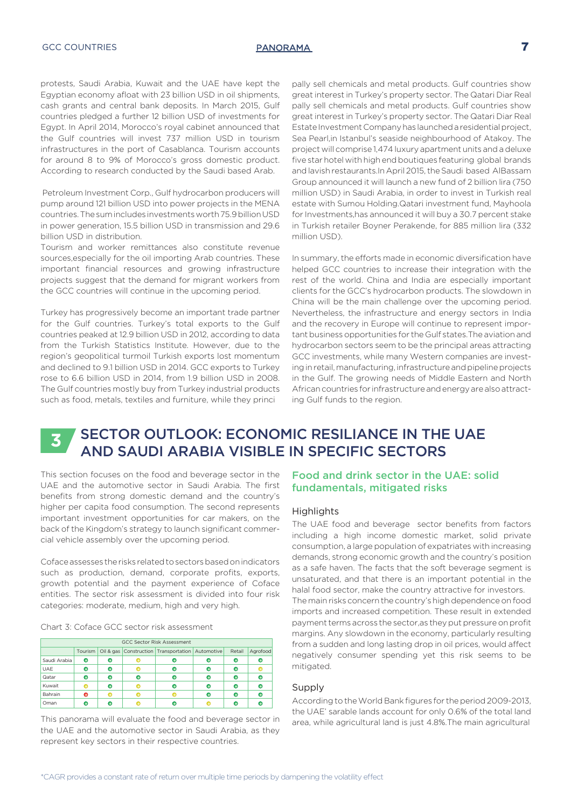protests, Saudi Arabia, Kuwait and the UAE have kept the Egyptian economy afloat with 23 billion USD in oil shipments, cash grants and central bank deposits. In March 2015, Gulf countries pledged a further 12 billion USD of investments for Egypt. In April 2014, Morocco's royal cabinet announced that the Gulf countries will invest 737 million USD in tourism infrastructures in the port of Casablanca. Tourism accounts for around 8 to 9% of Morocco's gross domestic product. According to research conducted by the Saudi based Arab.

 Petroleum Investment Corp., Gulf hydrocarbon producers will pump around 121 billion USD into power projects in the MENA countries. The sum includes investments worth 75.9 billion USD in power generation, 15.5 billion USD in transmission and 29.6 billion USD in distribution.

Tourism and worker remittances also constitute revenue sources,especially for the oil importing Arab countries. These important financial resources and growing infrastructure projects suggest that the demand for migrant workers from the GCC countries will continue in the upcoming period.

Turkey has progressively become an important trade partner for the Gulf countries. Turkey's total exports to the Gulf countries peaked at 12.9 billion USD in 2012, according to data from the Turkish Statistics Institute. However, due to the region's geopolitical turmoil Turkish exports lost momentum and declined to 9.1 billion USD in 2014. GCC exports to Turkey rose to 6.6 billion USD in 2014, from 1.9 billion USD in 2008. The Gulf countries mostly buy from Turkey industrial products such as food, metals, textiles and furniture, while they princi

pally sell chemicals and metal products. Gulf countries show great interest in Turkey's property sector. The Qatari Diar Real pally sell chemicals and metal products. Gulf countries show great interest in Turkey's property sector. The Qatari Diar Real Estate Investment Company has launched a residential project, Sea Pearl,in Istanbul's seaside neighbourhood of Atakoy. The project will comprise 1,474 luxury apartment units and a deluxe five star hotel with high end boutiques featuring global brands and lavish restaurants.In April 2015, the Saudi based AlBassam Group announced it will launch a new fund of 2 billion lira (750 million USD) in Saudi Arabia, in order to invest in Turkish real estate with Sumou Holding.Qatari investment fund, Mayhoola for Investments,has announced it will buy a 30.7 percent stake in Turkish retailer Boyner Perakende, for 885 million lira (332 million USD).

In summary, the efforts made in economic diversification have helped GCC countries to increase their integration with the rest of the world. China and India are especially important clients for the GCC's hydrocarbon products. The slowdown in China will be the main challenge over the upcoming period. Nevertheless, the infrastructure and energy sectors in India and the recovery in Europe will continue to represent important business opportunities for the Gulf states.The aviation and hydrocarbon sectors seem to be the principal areas attracting GCC investments, while many Western companies are investing in retail, manufacturing, infrastructure and pipeline projects in the Gulf. The growing needs of Middle Eastern and North African countries for infrastructure and energy are also attracting Gulf funds to the region.

## SECTOR OUTLOOK: ECONOMIC RESILIANCE IN THE UAE AND SAUDI ARABIA VISIBLE IN SPECIFIC SECTORS **<sup>3</sup>**

This section focuses on the food and beverage sector in the UAE and the automotive sector in Saudi Arabia. The first benefits from strong domestic demand and the country's higher per capita food consumption. The second represents important investment opportunities for car makers, on the back of the Kingdom's strategy to launch significant commercial vehicle assembly over the upcoming period.

Coface assesses the risks related to sectors based on indicators such as production, demand, corporate profits, exports, growth potential and the payment experience of Coface entities. The sector risk assessment is divided into four risk categories: moderate, medium, high and very high.

| Chart 3: Coface GCC sector risk assessment |  |
|--------------------------------------------|--|
|--------------------------------------------|--|

| <b>GCC Sector Risk Assessment</b> |         |   |  |                                                        |  |        |          |
|-----------------------------------|---------|---|--|--------------------------------------------------------|--|--------|----------|
|                                   | Tourism |   |  | Oil & gas   Construction   Transportation   Automotive |  | Retail | Agrofood |
| Saudi Arabia                      | о       | c |  |                                                        |  |        |          |
| <b>UAE</b>                        | e       | o |  |                                                        |  |        |          |
| Qatar                             |         | œ |  |                                                        |  |        |          |
| Kuwait                            |         | Ω |  |                                                        |  |        |          |
| Bahrain                           |         |   |  |                                                        |  |        |          |
| Oman                              |         |   |  |                                                        |  |        |          |

This panorama will evaluate the food and beverage sector in the UAE and the automotive sector in Saudi Arabia, as they represent key sectors in their respective countries.

## Food and drink sector in the UAE: solid fundamentals, mitigated risks

## **Highlights**

The UAE food and beverage sector benefits from factors including a high income domestic market, solid private consumption, a large population of expatriates with increasing demands, strong economic growth and the country's position as a safe haven. The facts that the soft beverage segment is unsaturated, and that there is an important potential in the halal food sector, make the country attractive for investors. The main risks concern the country's high dependence on food imports and increased competition. These result in extended payment terms across the sector,as they put pressure on profit margins. Any slowdown in the economy, particularly resulting from a sudden and long lasting drop in oil prices, would affect negatively consumer spending yet this risk seems to be mitigated.

## Supply

According to the World Bank figures for the period 2009-2013, the UAE' sarable lands account for only 0.6% of the total land area, while agricultural land is just 4.8%.The main agricultural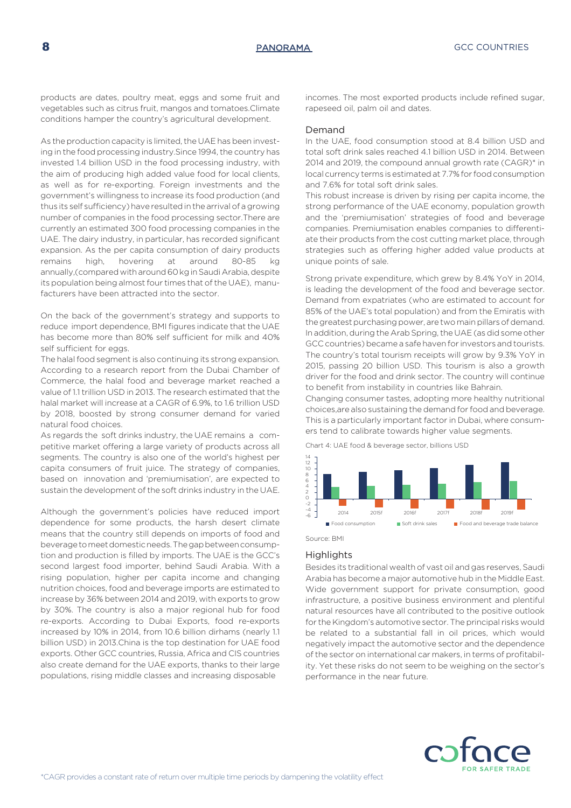products are dates, poultry meat, eggs and some fruit and vegetables such as citrus fruit, mangos and tomatoes.Climate conditions hamper the country's agricultural development.

As the production capacity is limited, the UAE has been investing in the food processing industry.Since 1994, the country has invested 1.4 billion USD in the food processing industry, with the aim of producing high added value food for local clients, as well as for re-exporting. Foreign investments and the government's willingness to increase its food production (and thus its self sufficiency) have resulted in the arrival of a growing number of companies in the food processing sector.There are currently an estimated 300 food processing companies in the UAE. The dairy industry, in particular, has recorded significant expansion. As the per capita consumption of dairy products remains high, hovering at around 80-85 kg annually,(compared with around 60 kg in Saudi Arabia, despite its population being almost four times that of the UAE), manufacturers have been attracted into the sector.

On the back of the government's strategy and supports to reduce import dependence, BMI figures indicate that the UAE has become more than 80% self sufficient for milk and 40% self sufficient for eggs.

The halal food segment is also continuing its strong expansion. According to a research report from the Dubai Chamber of Commerce, the halal food and beverage market reached a value of 1.1 trillion USD in 2013. The research estimated that the halal market will increase at a CAGR of 6.9%, to 1.6 trillion USD by 2018, boosted by strong consumer demand for varied natural food choices.

As regards the soft drinks industry, the UAE remains a competitive market offering a large variety of products across all segments. The country is also one of the world's highest per capita consumers of fruit juice. The strategy of companies, based on innovation and 'premiumisation', are expected to sustain the development of the soft drinks industry in the UAE.

Although the government's policies have reduced import dependence for some products, the harsh desert climate means that the country still depends on imports of food and beverage to meet domestic needs. The gap between consumption and production is filled by imports. The UAE is the GCC's second largest food importer, behind Saudi Arabia. With a rising population, higher per capita income and changing nutrition choices, food and beverage imports are estimated to increase by 36% between 2014 and 2019, with exports to grow by 30%. The country is also a major regional hub for food re-exports. According to Dubai Exports, food re-exports increased by 10% in 2014, from 10.6 billion dirhams (nearly 1.1 billion USD) in 2013.China is the top destination for UAE food exports. Other GCC countries, Russia, Africa and CIS countries also create demand for the UAE exports, thanks to their large populations, rising middle classes and increasing disposable

incomes. The most exported products include refined sugar, rapeseed oil, palm oil and dates.

## Demand

In the UAE, food consumption stood at 8.4 billion USD and total soft drink sales reached 4.1 billion USD in 2014. Between 2014 and 2019, the compound annual growth rate (CAGR)\* in local currency terms is estimated at 7.7% for food consumption and 7.6% for total soft drink sales.

This robust increase is driven by rising per capita income, the strong performance of the UAE economy, population growth and the 'premiumisation' strategies of food and beverage companies. Premiumisation enables companies to differentiate their products from the cost cutting market place, through strategies such as offering higher added value products at unique points of sale.

Strong private expenditure, which grew by 8.4% YoY in 2014, is leading the development of the food and beverage sector. Demand from expatriates (who are estimated to account for 85% of the UAE's total population) and from the Emiratis with the greatest purchasing power, are two main pillars of demand. In addition, during the Arab Spring, the UAE (as did some other GCC countries) became a safe haven for investors and tourists. The country's total tourism receipts will grow by 9.3% YoY in 2015, passing 20 billion USD. This tourism is also a growth driver for the food and drink sector. The country will continue to benefit from instability in countries like Bahrain.

Changing consumer tastes, adopting more healthy nutritional choices,are also sustaining the demand for food and beverage. This is a particularly important factor in Dubai, where consumers tend to calibrate towards higher value segments.

Chart 4: UAE food & beverage sector, billions USD



### **Highlights**

Besides its traditional wealth of vast oil and gas reserves, Saudi Arabia has become a major automotive hub in the Middle East. Wide government support for private consumption, good infrastructure, a positive business environment and plentiful natural resources have all contributed to the positive outlook for the Kingdom's automotive sector. The principal risks would be related to a substantial fall in oil prices, which would negatively impact the automotive sector and the dependence of the sector on international car makers, in terms of profitability. Yet these risks do not seem to be weighing on the sector's performance in the near future.

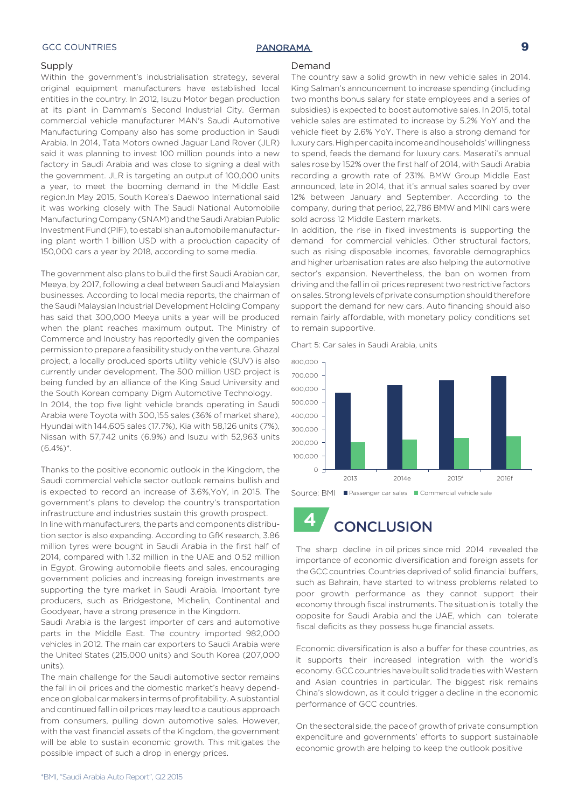## GCC COUNTRIES **EXAMPLE 2** PANORAMA **9**

### **Supply**

Within the government's industrialisation strategy, several original equipment manufacturers have established local entities in the country. In 2012, Isuzu Motor began production at its plant in Dammam's Second Industrial City. German commercial vehicle manufacturer MAN's Saudi Automotive Manufacturing Company also has some production in Saudi Arabia. In 2014, Tata Motors owned Jaguar Land Rover (JLR) said it was planning to invest 100 million pounds into a new factory in Saudi Arabia and was close to signing a deal with the government. JLR is targeting an output of 100,000 units a year, to meet the booming demand in the Middle East region.In May 2015, South Korea's Daewoo International said it was working closely with The Saudi National Automobile Manufacturing Company (SNAM) and the Saudi Arabian Public Investment Fund (PIF), to establish an automobile manufacturing plant worth 1 billion USD with a production capacity of 150,000 cars a year by 2018, according to some media.

The government also plans to build the first Saudi Arabian car, Meeya, by 2017, following a deal between Saudi and Malaysian businesses. According to local media reports, the chairman of the Saudi Malaysian Industrial Development Holding Company has said that 300,000 Meeya units a year will be produced when the plant reaches maximum output. The Ministry of Commerce and Industry has reportedly given the companies permission to prepare a feasibility study on the venture. Ghazal project, a locally produced sports utility vehicle (SUV) is also currently under development. The 500 million USD project is being funded by an alliance of the King Saud University and the South Korean company Digm Automotive Technology. In 2014, the top five light vehicle brands operating in Saudi Arabia were Toyota with 300,155 sales (36% of market share), Hyundai with 144,605 sales (17.7%), Kia with 58,126 units (7%), Nissan with 57,742 units (6.9%) and Isuzu with 52,963 units  $(6.4\%)^*$ .

Thanks to the positive economic outlook in the Kingdom, the Saudi commercial vehicle sector outlook remains bullish and is expected to record an increase of 3.6%,YoY, in 2015. The government's plans to develop the country's transportation infrastructure and industries sustain this growth prospect.

In line with manufacturers, the parts and components distribution sector is also expanding. According to GfK research, 3.86 million tyres were bought in Saudi Arabia in the first half of 2014, compared with 1.32 million in the UAE and 0.52 million in Egypt. Growing automobile fleets and sales, encouraging government policies and increasing foreign investments are supporting the tyre market in Saudi Arabia. Important tyre producers, such as Bridgestone, Michelin, Continental and Goodyear, have a strong presence in the Kingdom.

Saudi Arabia is the largest importer of cars and automotive parts in the Middle East. The country imported 982,000 vehicles in 2012. The main car exporters to Saudi Arabia were the United States (215,000 units) and South Korea (207,000 units).

The main challenge for the Saudi automotive sector remains the fall in oil prices and the domestic market's heavy dependence on global car makers in terms of profitability. A substantial and continued fall in oil prices may lead to a cautious approach from consumers, pulling down automotive sales. However, with the vast financial assets of the Kingdom, the government will be able to sustain economic growth. This mitigates the possible impact of such a drop in energy prices.

### Demand

The country saw a solid growth in new vehicle sales in 2014. King Salman's announcement to increase spending (including two months bonus salary for state employees and a series of subsidies) is expected to boost automotive sales. In 2015, total vehicle sales are estimated to increase by 5.2% YoY and the vehicle fleet by 2.6% YoY. There is also a strong demand for luxury cars. High per capita income and households' willingness to spend, feeds the demand for luxury cars. Maserati's annual sales rose by 152% over the first half of 2014, with Saudi Arabia recording a growth rate of 231%. BMW Group Middle East announced, late in 2014, that it's annual sales soared by over 12% between January and September. According to the company, during that period, 22,786 BMW and MINI cars were sold across 12 Middle Eastern markets.

In addition, the rise in fixed investments is supporting the demand for commercial vehicles. Other structural factors, such as rising disposable incomes, favorable demographics and higher urbanisation rates are also helping the automotive sector's expansion. Nevertheless, the ban on women from driving and the fall in oil prices represent two restrictive factors on sales. Strong levels of private consumption should therefore support the demand for new cars. Auto financing should also remain fairly affordable, with monetary policy conditions set to remain supportive.

Chart 5: Car sales in Saudi Arabia, units



## **4** CONCLUSION

The sharp decline in oil prices since mid 2014 revealed the importance of economic diversification and foreign assets for the GCC countries. Countries deprived of solid financial buffers, such as Bahrain, have started to witness problems related to poor growth performance as they cannot support their economy through fiscal instruments. The situation is totally the opposite for Saudi Arabia and the UAE, which can tolerate fiscal deficits as they possess huge financial assets.

Economic diversification is also a buffer for these countries, as it supports their increased integration with the world's economy. GCC countries have built solid trade ties with Western and Asian countries in particular. The biggest risk remains China's slowdown, as it could trigger a decline in the economic performance of GCC countries.

On the sectoral side, the pace of growth of private consumption expenditure and governments' efforts to support sustainable economic growth are helping to keep the outlook positive